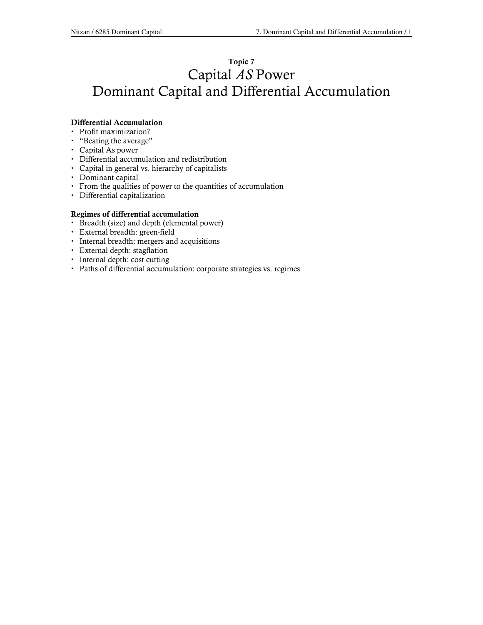# Topic 7 Capital AS Power Dominant Capital and Differential Accumulation

#### Differential Accumulation

- Profit maximization?
- "Beating the average"
- Capital As power
- Differential accumulation and redistribution
- Capital in general vs. hierarchy of capitalists
- Dominant capital
- From the qualities of power to the quantities of accumulation
- Differential capitalization

#### Regimes of differential accumulation

- Breadth (size) and depth (elemental power)
- External breadth: green-field
- Internal breadth: mergers and acquisitions
- External depth: stagflation
- Internal depth: cost cutting
- Paths of differential accumulation: corporate strategies vs. regimes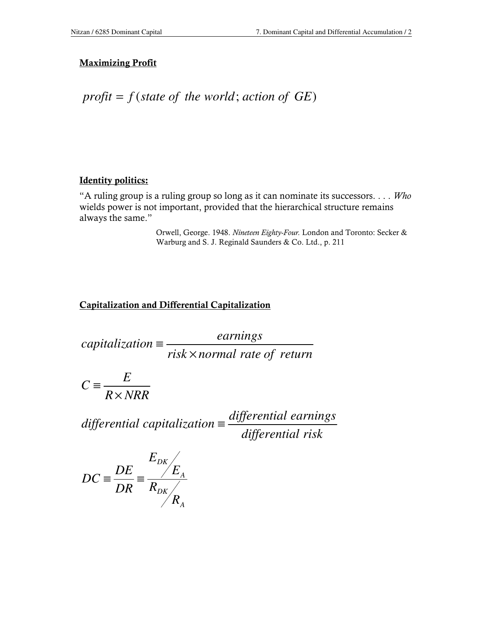#### Maximizing Profit

*profit* =  $f$  (*state of the world*; *action of*  $GE$ )

#### Identity politics:

"A ruling group is a ruling group so long as it can nominate its successors.  $\dots$  Who wields power is not important, provided that the hierarchical structure remains always the same."

> Orwell, George. 1948. Nineteen Eighty-Four. London and Toronto: Secker & Warburg and S. J. Reginald Saunders & Co. Ltd., p. 211

### Capitalization and Differential Capitalization

*risk normal rate of return earnings capitalization*  $\overline{\mathsf{x}}$ ≡

$$
C \equiv \frac{E}{R \times NRR}
$$

*differential risk differential earnings differential capitalization* <sup>≡</sup>

$$
DC \equiv \frac{DE}{DR} = \frac{E_{DK}}{R_{DK}}/R_{A}
$$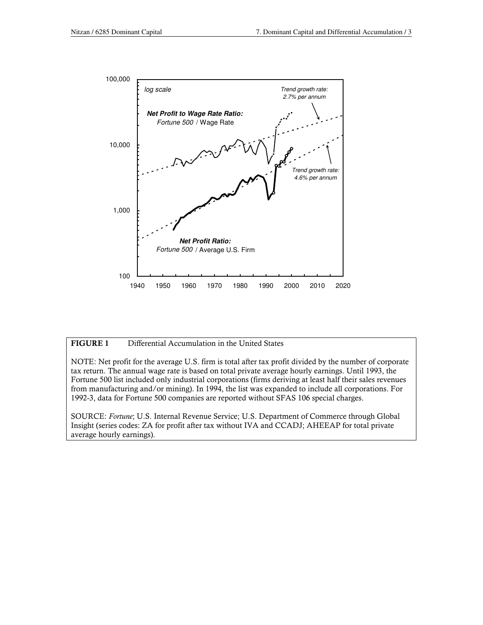

#### FIGURE 1 Differential Accumulation in the United States

NOTE: Net profit for the average U.S. firm is total after tax profit divided by the number of corporate tax return. The annual wage rate is based on total private average hourly earnings. Until 1993, the Fortune 500 list included only industrial corporations (firms deriving at least half their sales revenues from manufacturing and/or mining). In 1994, the list was expanded to include all corporations. For 1992-3, data for Fortune 500 companies are reported without SFAS 106 special charges.

SOURCE: Fortune; U.S. Internal Revenue Service; U.S. Department of Commerce through Global Insight (series codes: ZA for profit after tax without IVA and CCADJ; AHEEAP for total private average hourly earnings).